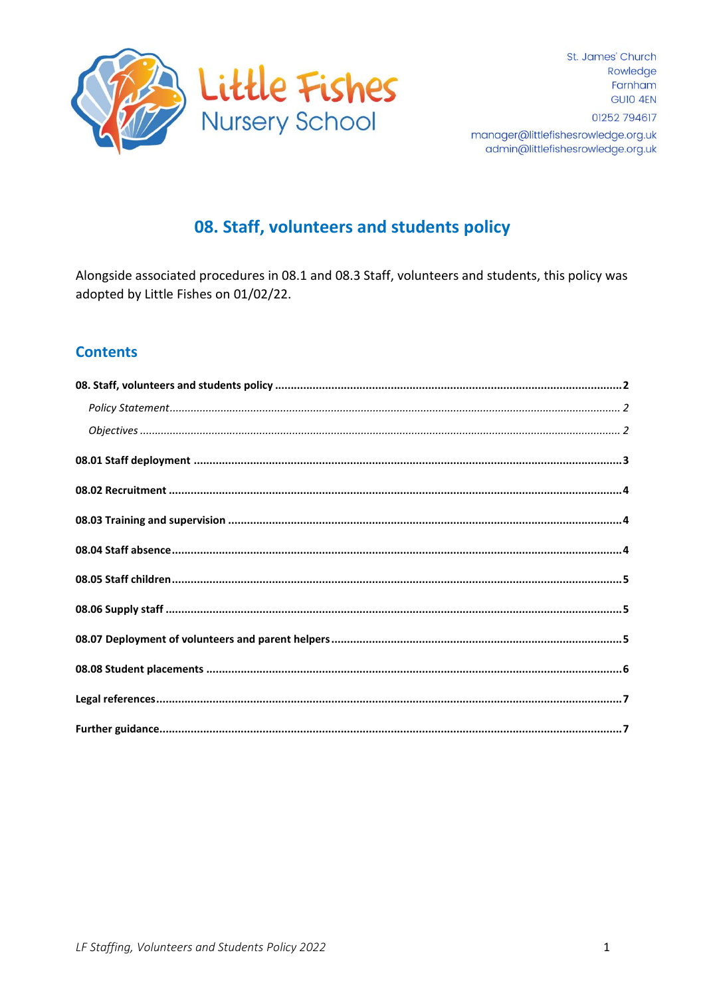

# 08. Staff, volunteers and students policy

Alongside associated procedures in 08.1 and 08.3 Staff, volunteers and students, this policy was adopted by Little Fishes on 01/02/22.

# **Contents**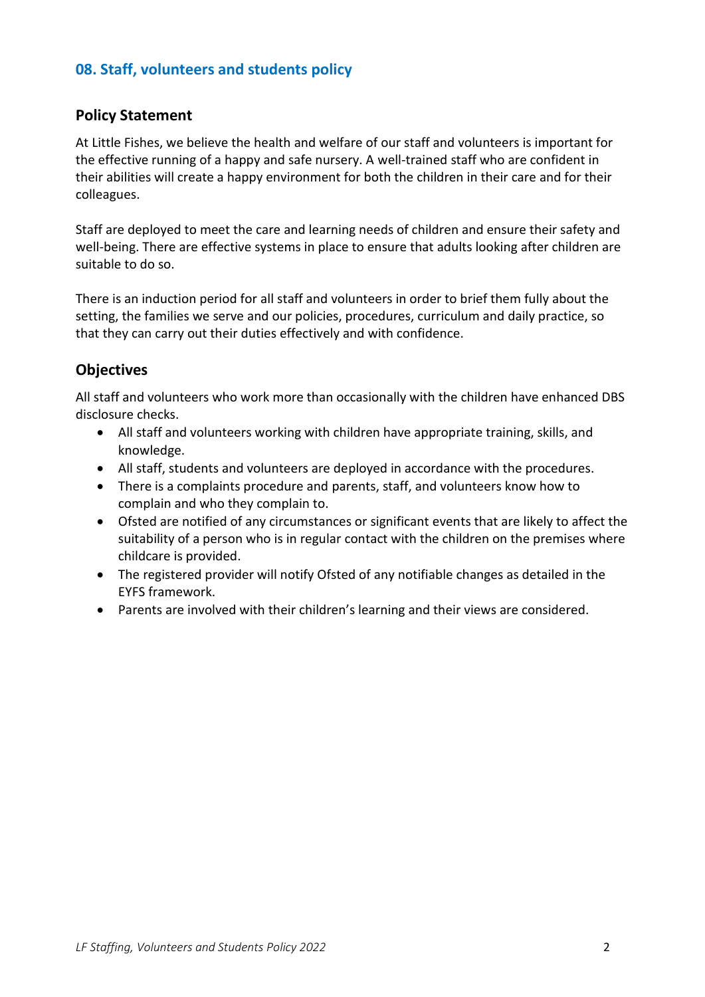# <span id="page-1-0"></span>**08. Staff, volunteers and students policy**

#### <span id="page-1-1"></span>**Policy Statement**

At Little Fishes, we believe the health and welfare of our staff and volunteers is important for the effective running of a happy and safe nursery. A well-trained staff who are confident in their abilities will create a happy environment for both the children in their care and for their colleagues.

Staff are deployed to meet the care and learning needs of children and ensure their safety and well-being. There are effective systems in place to ensure that adults looking after children are suitable to do so.

There is an induction period for all staff and volunteers in order to brief them fully about the setting, the families we serve and our policies, procedures, curriculum and daily practice, so that they can carry out their duties effectively and with confidence.

#### <span id="page-1-2"></span>**Objectives**

All staff and volunteers who work more than occasionally with the children have enhanced DBS disclosure checks.

- All staff and volunteers working with children have appropriate training, skills, and knowledge.
- All staff, students and volunteers are deployed in accordance with the procedures.
- There is a complaints procedure and parents, staff, and volunteers know how to complain and who they complain to.
- Ofsted are notified of any circumstances or significant events that are likely to affect the suitability of a person who is in regular contact with the children on the premises where childcare is provided.
- The registered provider will notify Ofsted of any notifiable changes as detailed in the EYFS framework.
- <span id="page-1-3"></span>• Parents are involved with their children's learning and their views are considered.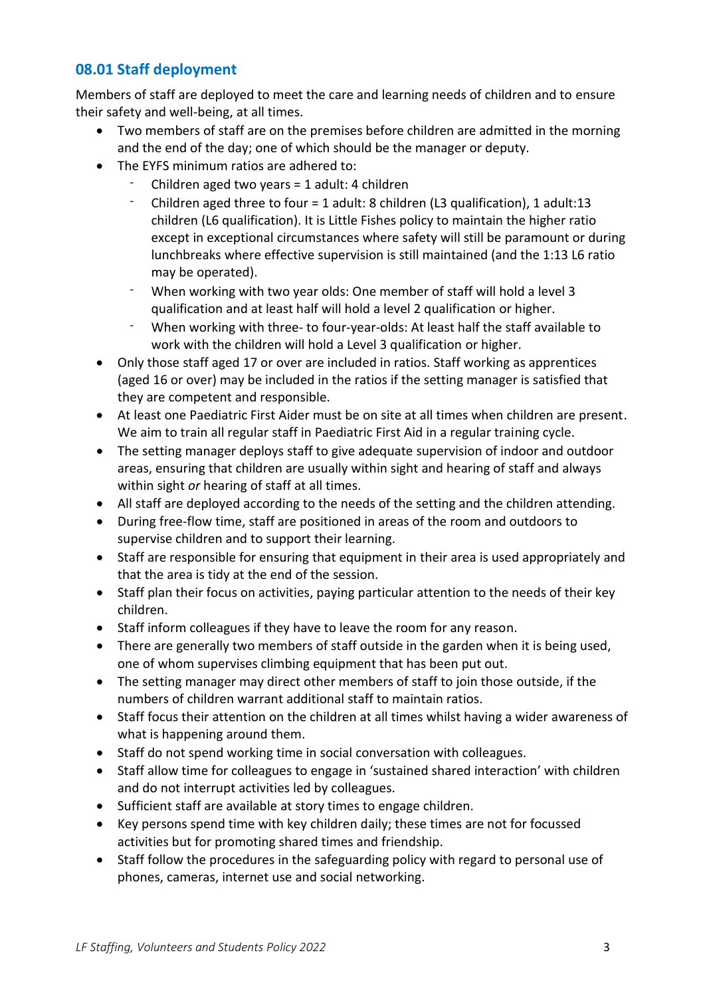# **08.01 Staff deployment**

Members of staff are deployed to meet the care and learning needs of children and to ensure their safety and well-being, at all times.

- Two members of staff are on the premises before children are admitted in the morning and the end of the day; one of which should be the manager or deputy.
- The EYFS minimum ratios are adhered to:
	- Children aged two years = 1 adult: 4 children
	- Children aged three to four = 1 adult: 8 children (L3 qualification), 1 adult:13 children (L6 qualification). It is Little Fishes policy to maintain the higher ratio except in exceptional circumstances where safety will still be paramount or during lunchbreaks where effective supervision is still maintained (and the 1:13 L6 ratio may be operated).
	- When working with two year olds: One member of staff will hold a level 3 qualification and at least half will hold a level 2 qualification or higher.
	- When working with three- to four-year-olds: At least half the staff available to work with the children will hold a Level 3 qualification or higher.
- Only those staff aged 17 or over are included in ratios. Staff working as apprentices (aged 16 or over) may be included in the ratios if the setting manager is satisfied that they are competent and responsible.
- At least one Paediatric First Aider must be on site at all times when children are present. We aim to train all regular staff in Paediatric First Aid in a regular training cycle.
- The setting manager deploys staff to give adequate supervision of indoor and outdoor areas, ensuring that children are usually within sight and hearing of staff and always within sight *or* hearing of staff at all times.
- All staff are deployed according to the needs of the setting and the children attending.
- During free-flow time, staff are positioned in areas of the room and outdoors to supervise children and to support their learning.
- Staff are responsible for ensuring that equipment in their area is used appropriately and that the area is tidy at the end of the session.
- Staff plan their focus on activities, paying particular attention to the needs of their key children.
- Staff inform colleagues if they have to leave the room for any reason.
- There are generally two members of staff outside in the garden when it is being used, one of whom supervises climbing equipment that has been put out.
- The setting manager may direct other members of staff to join those outside, if the numbers of children warrant additional staff to maintain ratios.
- Staff focus their attention on the children at all times whilst having a wider awareness of what is happening around them.
- Staff do not spend working time in social conversation with colleagues.
- Staff allow time for colleagues to engage in 'sustained shared interaction' with children and do not interrupt activities led by colleagues.
- Sufficient staff are available at story times to engage children.
- Key persons spend time with key children daily; these times are not for focussed activities but for promoting shared times and friendship.
- Staff follow the procedures in the safeguarding policy with regard to personal use of phones, cameras, internet use and social networking.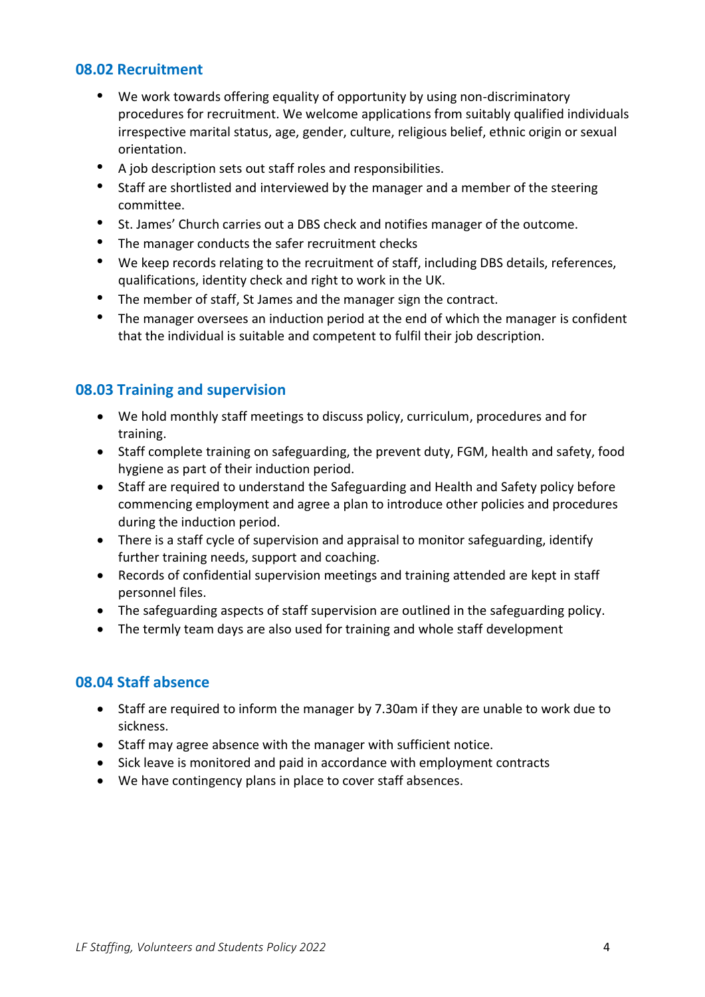#### <span id="page-3-0"></span>**08.02 Recruitment**

- We work towards offering equality of opportunity by using non-discriminatory procedures for recruitment. We welcome applications from suitably qualified individuals irrespective marital status, age, gender, culture, religious belief, ethnic origin or sexual orientation.
- A job description sets out staff roles and responsibilities.
- Staff are shortlisted and interviewed by the manager and a member of the steering committee.
- St. James' Church carries out a DBS check and notifies manager of the outcome.
- The manager conducts the safer recruitment checks
- We keep records relating to the recruitment of staff, including DBS details, references, qualifications, identity check and right to work in the UK.
- The member of staff, St James and the manager sign the contract.
- The manager oversees an induction period at the end of which the manager is confident that the individual is suitable and competent to fulfil their job description.

#### <span id="page-3-1"></span>**08.03 Training and supervision**

- We hold monthly staff meetings to discuss policy, curriculum, procedures and for training.
- Staff complete training on safeguarding, the prevent duty, FGM, health and safety, food hygiene as part of their induction period.
- Staff are required to understand the Safeguarding and Health and Safety policy before commencing employment and agree a plan to introduce other policies and procedures during the induction period.
- There is a staff cycle of supervision and appraisal to monitor safeguarding, identify further training needs, support and coaching.
- Records of confidential supervision meetings and training attended are kept in staff personnel files.
- The safeguarding aspects of staff supervision are outlined in the safeguarding policy.
- The termly team days are also used for training and whole staff development

#### <span id="page-3-2"></span>**08.04 Staff absence**

- Staff are required to inform the manager by 7.30am if they are unable to work due to sickness.
- Staff may agree absence with the manager with sufficient notice.
- Sick leave is monitored and paid in accordance with employment contracts
- <span id="page-3-3"></span>• We have contingency plans in place to cover staff absences.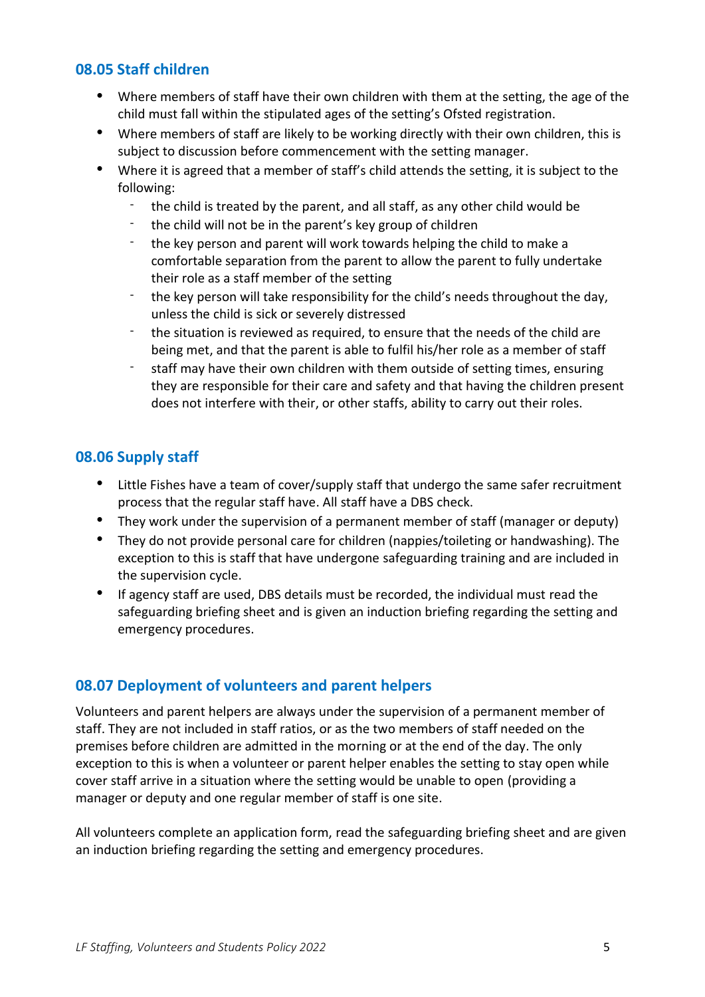#### **08.05 Staff children**

- Where members of staff have their own children with them at the setting, the age of the child must fall within the stipulated ages of the setting's Ofsted registration.
- Where members of staff are likely to be working directly with their own children, this is subject to discussion before commencement with the setting manager.
- Where it is agreed that a member of staff's child attends the setting, it is subject to the following:
	- the child is treated by the parent, and all staff, as any other child would be
	- the child will not be in the parent's key group of children
	- the key person and parent will work towards helping the child to make a comfortable separation from the parent to allow the parent to fully undertake their role as a staff member of the setting
	- the key person will take responsibility for the child's needs throughout the day, unless the child is sick or severely distressed
	- the situation is reviewed as required, to ensure that the needs of the child are being met, and that the parent is able to fulfil his/her role as a member of staff
	- staff may have their own children with them outside of setting times, ensuring they are responsible for their care and safety and that having the children present does not interfere with their, or other staffs, ability to carry out their roles.

# <span id="page-4-0"></span>**08.06 Supply staff**

- Little Fishes have a team of cover/supply staff that undergo the same safer recruitment process that the regular staff have. All staff have a DBS check.
- They work under the supervision of a permanent member of staff (manager or deputy)
- They do not provide personal care for children (nappies/toileting or handwashing). The exception to this is staff that have undergone safeguarding training and are included in the supervision cycle.
- If agency staff are used, DBS details must be recorded, the individual must read the safeguarding briefing sheet and is given an induction briefing regarding the setting and emergency procedures.

# <span id="page-4-1"></span>**08.07 Deployment of volunteers and parent helpers**

Volunteers and parent helpers are always under the supervision of a permanent member of staff. They are not included in staff ratios, or as the two members of staff needed on the premises before children are admitted in the morning or at the end of the day. The only exception to this is when a volunteer or parent helper enables the setting to stay open while cover staff arrive in a situation where the setting would be unable to open (providing a manager or deputy and one regular member of staff is one site.

All volunteers complete an application form, read the safeguarding briefing sheet and are given an induction briefing regarding the setting and emergency procedures.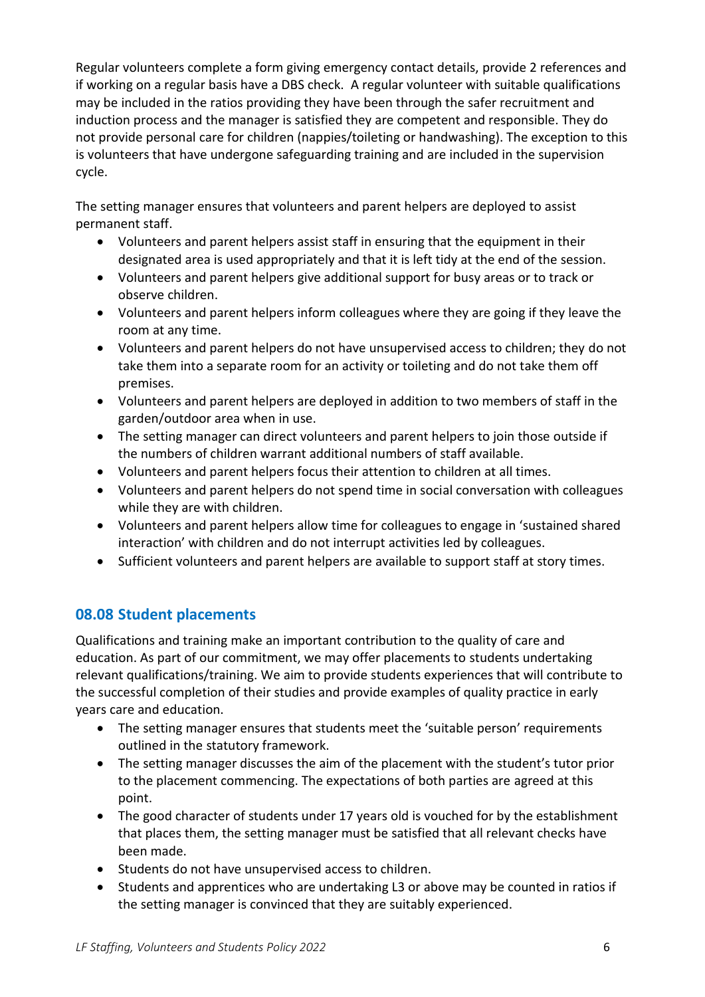Regular volunteers complete a form giving emergency contact details, provide 2 references and if working on a regular basis have a DBS check. A regular volunteer with suitable qualifications may be included in the ratios providing they have been through the safer recruitment and induction process and the manager is satisfied they are competent and responsible. They do not provide personal care for children (nappies/toileting or handwashing). The exception to this is volunteers that have undergone safeguarding training and are included in the supervision cycle.

The setting manager ensures that volunteers and parent helpers are deployed to assist permanent staff.

- Volunteers and parent helpers assist staff in ensuring that the equipment in their designated area is used appropriately and that it is left tidy at the end of the session.
- Volunteers and parent helpers give additional support for busy areas or to track or observe children.
- Volunteers and parent helpers inform colleagues where they are going if they leave the room at any time.
- Volunteers and parent helpers do not have unsupervised access to children; they do not take them into a separate room for an activity or toileting and do not take them off premises.
- Volunteers and parent helpers are deployed in addition to two members of staff in the garden/outdoor area when in use.
- The setting manager can direct volunteers and parent helpers to join those outside if the numbers of children warrant additional numbers of staff available.
- Volunteers and parent helpers focus their attention to children at all times.
- Volunteers and parent helpers do not spend time in social conversation with colleagues while they are with children.
- Volunteers and parent helpers allow time for colleagues to engage in 'sustained shared interaction' with children and do not interrupt activities led by colleagues.
- Sufficient volunteers and parent helpers are available to support staff at story times.

# <span id="page-5-0"></span>**08.08 Student placements**

Qualifications and training make an important contribution to the quality of care and education. As part of our commitment, we may offer placements to students undertaking relevant qualifications/training. We aim to provide students experiences that will contribute to the successful completion of their studies and provide examples of quality practice in early years care and education.

- The setting manager ensures that students meet the 'suitable person' requirements outlined in the statutory framework.
- The setting manager discusses the aim of the placement with the student's tutor prior to the placement commencing. The expectations of both parties are agreed at this point.
- The good character of students under 17 years old is vouched for by the establishment that places them, the setting manager must be satisfied that all relevant checks have been made.
- Students do not have unsupervised access to children.
- Students and apprentices who are undertaking L3 or above may be counted in ratios if the setting manager is convinced that they are suitably experienced.